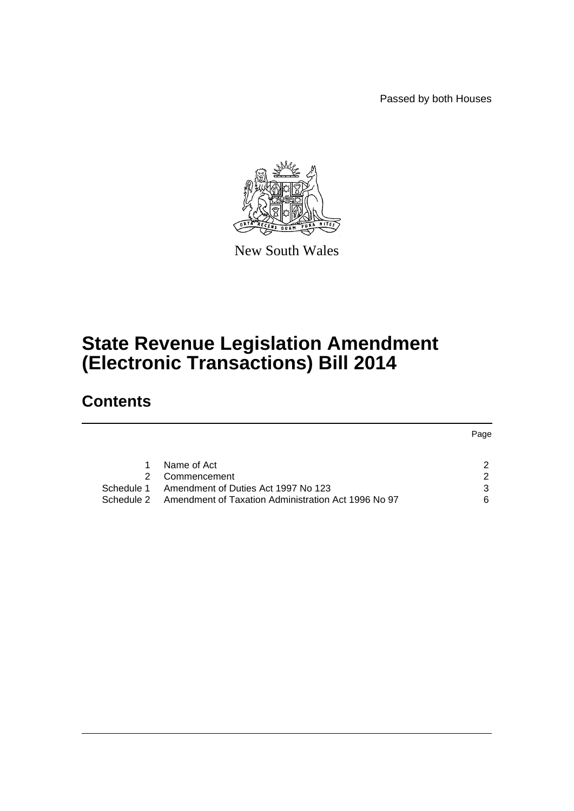Passed by both Houses



New South Wales

# **State Revenue Legislation Amendment (Electronic Transactions) Bill 2014**

# **Contents**

|            |                                                     | Page          |
|------------|-----------------------------------------------------|---------------|
|            |                                                     |               |
|            | Name of Act                                         | 2             |
|            | Commencement                                        | $\mathcal{P}$ |
|            | Schedule 1 Amendment of Duties Act 1997 No 123      | 3             |
| Schedule 2 | Amendment of Taxation Administration Act 1996 No 97 | 6             |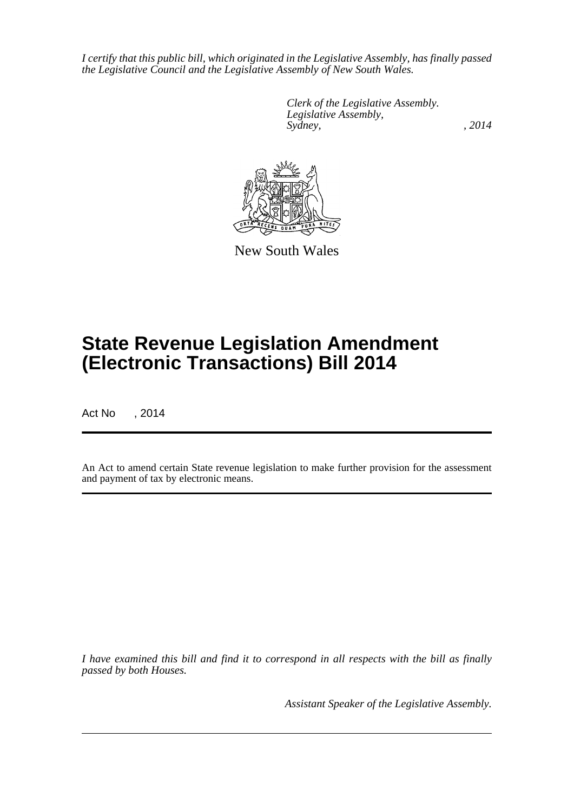*I certify that this public bill, which originated in the Legislative Assembly, has finally passed the Legislative Council and the Legislative Assembly of New South Wales.*

> *Clerk of the Legislative Assembly. Legislative Assembly, Sydney,* , 2014



New South Wales

# **State Revenue Legislation Amendment (Electronic Transactions) Bill 2014**

Act No , 2014

An Act to amend certain State revenue legislation to make further provision for the assessment and payment of tax by electronic means.

*I have examined this bill and find it to correspond in all respects with the bill as finally passed by both Houses.*

*Assistant Speaker of the Legislative Assembly.*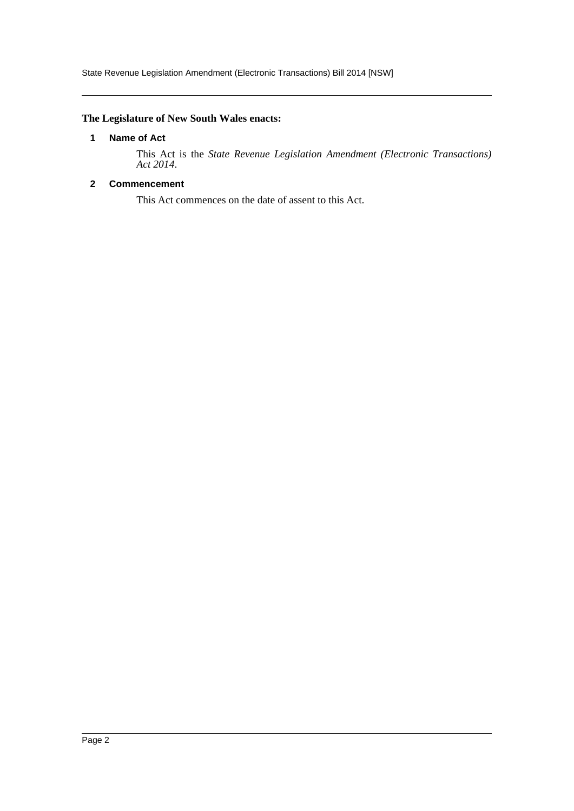State Revenue Legislation Amendment (Electronic Transactions) Bill 2014 [NSW]

## <span id="page-2-0"></span>**The Legislature of New South Wales enacts:**

#### **1 Name of Act**

This Act is the *State Revenue Legislation Amendment (Electronic Transactions) Act 2014*.

# <span id="page-2-1"></span>**2 Commencement**

This Act commences on the date of assent to this Act.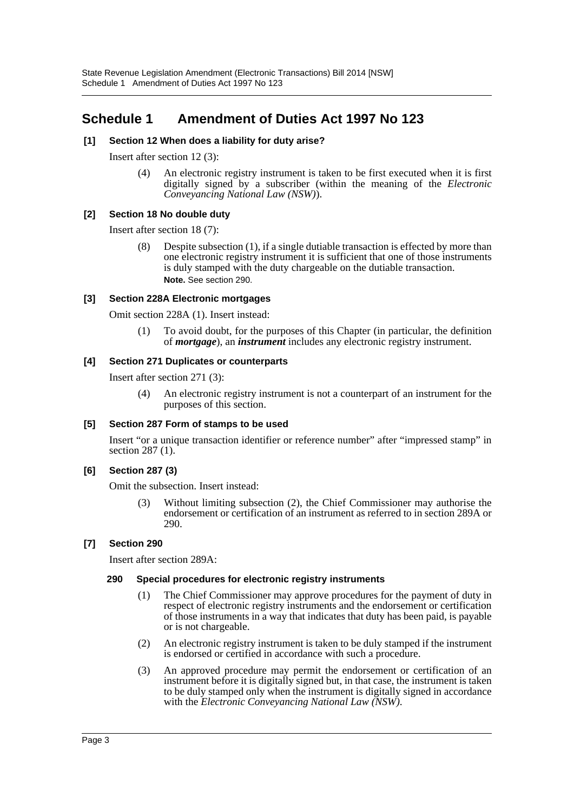# <span id="page-3-0"></span>**Schedule 1 Amendment of Duties Act 1997 No 123**

#### **[1] Section 12 When does a liability for duty arise?**

Insert after section 12 (3):

(4) An electronic registry instrument is taken to be first executed when it is first digitally signed by a subscriber (within the meaning of the *Electronic Conveyancing National Law (NSW)*).

#### **[2] Section 18 No double duty**

Insert after section 18 (7):

(8) Despite subsection (1), if a single dutiable transaction is effected by more than one electronic registry instrument it is sufficient that one of those instruments is duly stamped with the duty chargeable on the dutiable transaction. **Note.** See section 290.

#### **[3] Section 228A Electronic mortgages**

Omit section 228A (1). Insert instead:

(1) To avoid doubt, for the purposes of this Chapter (in particular, the definition of *mortgage*), an *instrument* includes any electronic registry instrument.

#### **[4] Section 271 Duplicates or counterparts**

Insert after section 271 (3):

(4) An electronic registry instrument is not a counterpart of an instrument for the purposes of this section.

#### **[5] Section 287 Form of stamps to be used**

Insert "or a unique transaction identifier or reference number" after "impressed stamp" in section 287 (1).

## **[6] Section 287 (3)**

Omit the subsection. Insert instead:

(3) Without limiting subsection (2), the Chief Commissioner may authorise the endorsement or certification of an instrument as referred to in section 289A or 290.

## **[7] Section 290**

Insert after section 289A:

#### **290 Special procedures for electronic registry instruments**

- (1) The Chief Commissioner may approve procedures for the payment of duty in respect of electronic registry instruments and the endorsement or certification of those instruments in a way that indicates that duty has been paid, is payable or is not chargeable.
- (2) An electronic registry instrument is taken to be duly stamped if the instrument is endorsed or certified in accordance with such a procedure.
- (3) An approved procedure may permit the endorsement or certification of an instrument before it is digitally signed but, in that case, the instrument is taken to be duly stamped only when the instrument is digitally signed in accordance with the *Electronic Conveyancing National Law (NSW)*.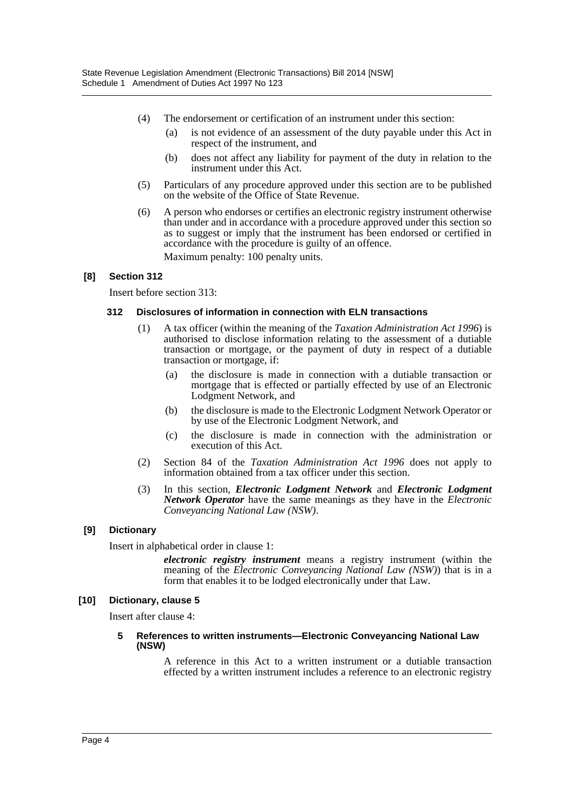- (4) The endorsement or certification of an instrument under this section:
	- (a) is not evidence of an assessment of the duty payable under this Act in respect of the instrument, and
	- (b) does not affect any liability for payment of the duty in relation to the instrument under this Act.
- (5) Particulars of any procedure approved under this section are to be published on the website of the Office of State Revenue.
- (6) A person who endorses or certifies an electronic registry instrument otherwise than under and in accordance with a procedure approved under this section so as to suggest or imply that the instrument has been endorsed or certified in accordance with the procedure is guilty of an offence.

Maximum penalty: 100 penalty units.

#### **[8] Section 312**

Insert before section 313:

#### **312 Disclosures of information in connection with ELN transactions**

- (1) A tax officer (within the meaning of the *Taxation Administration Act 1996*) is authorised to disclose information relating to the assessment of a dutiable transaction or mortgage, or the payment of duty in respect of a dutiable transaction or mortgage, if:
	- (a) the disclosure is made in connection with a dutiable transaction or mortgage that is effected or partially effected by use of an Electronic Lodgment Network, and
	- (b) the disclosure is made to the Electronic Lodgment Network Operator or by use of the Electronic Lodgment Network, and
	- (c) the disclosure is made in connection with the administration or execution of this Act.
- (2) Section 84 of the *Taxation Administration Act 1996* does not apply to information obtained from a tax officer under this section.
- (3) In this section, *Electronic Lodgment Network* and *Electronic Lodgment Network Operator* have the same meanings as they have in the *Electronic Conveyancing National Law (NSW)*.

#### **[9] Dictionary**

Insert in alphabetical order in clause 1:

*electronic registry instrument* means a registry instrument (within the meaning of the *Electronic Conveyancing National Law (NSW)*) that is in a form that enables it to be lodged electronically under that Law.

#### **[10] Dictionary, clause 5**

Insert after clause 4:

#### **5 References to written instruments—Electronic Conveyancing National Law (NSW)**

A reference in this Act to a written instrument or a dutiable transaction effected by a written instrument includes a reference to an electronic registry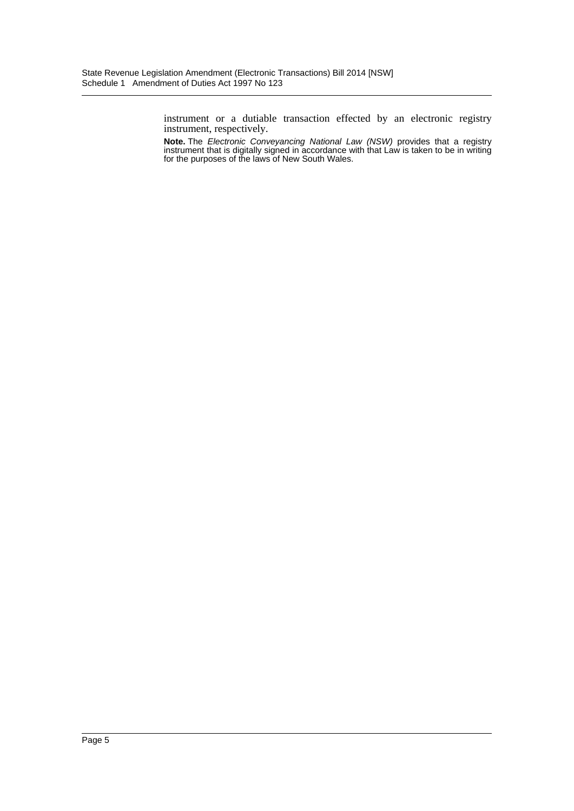instrument or a dutiable transaction effected by an electronic registry instrument, respectively.

**Note.** The *Electronic Conveyancing National Law (NSW)* provides that a registry instrument that is digitally signed in accordance with that Law is taken to be in writing for the purposes of the laws of New South Wales.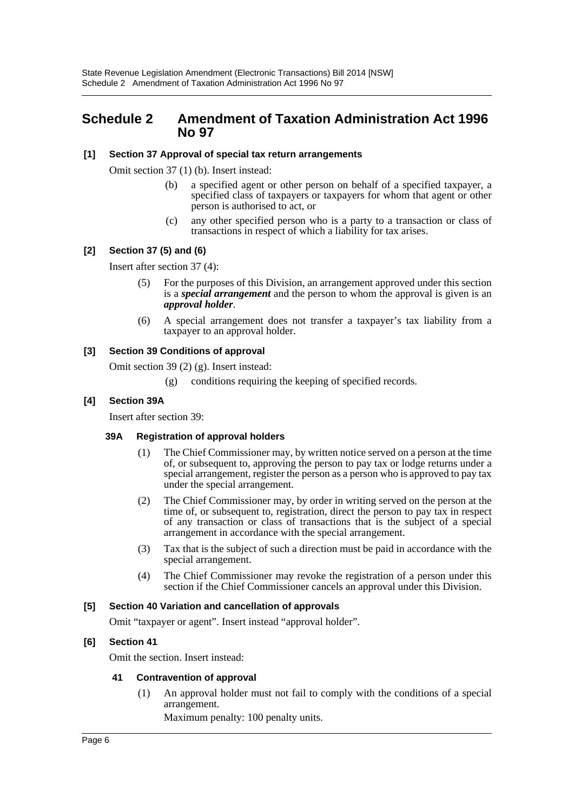# <span id="page-6-0"></span>**Schedule 2 Amendment of Taxation Administration Act 1996 No 97**

#### **[1] Section 37 Approval of special tax return arrangements**

Omit section 37 (1) (b). Insert instead:

- (b) a specified agent or other person on behalf of a specified taxpayer, a specified class of taxpayers or taxpayers for whom that agent or other person is authorised to act, or
- (c) any other specified person who is a party to a transaction or class of transactions in respect of which a liability for tax arises.

## **[2] Section 37 (5) and (6)**

Insert after section 37 (4):

- (5) For the purposes of this Division, an arrangement approved under this section is a *special arrangement* and the person to whom the approval is given is an *approval holder*.
- (6) A special arrangement does not transfer a taxpayer's tax liability from a taxpayer to an approval holder.

#### **[3] Section 39 Conditions of approval**

Omit section 39 (2) (g). Insert instead:

(g) conditions requiring the keeping of specified records.

#### **[4] Section 39A**

Insert after section 39:

#### **39A Registration of approval holders**

- (1) The Chief Commissioner may, by written notice served on a person at the time of, or subsequent to, approving the person to pay tax or lodge returns under a special arrangement, register the person as a person who is approved to pay tax under the special arrangement.
- (2) The Chief Commissioner may, by order in writing served on the person at the time of, or subsequent to, registration, direct the person to pay tax in respect of any transaction or class of transactions that is the subject of a special arrangement in accordance with the special arrangement.
- (3) Tax that is the subject of such a direction must be paid in accordance with the special arrangement.
- (4) The Chief Commissioner may revoke the registration of a person under this section if the Chief Commissioner cancels an approval under this Division.

#### **[5] Section 40 Variation and cancellation of approvals**

Omit "taxpayer or agent". Insert instead "approval holder".

#### **[6] Section 41**

Omit the section. Insert instead:

#### **41 Contravention of approval**

(1) An approval holder must not fail to comply with the conditions of a special arrangement.

Maximum penalty: 100 penalty units.